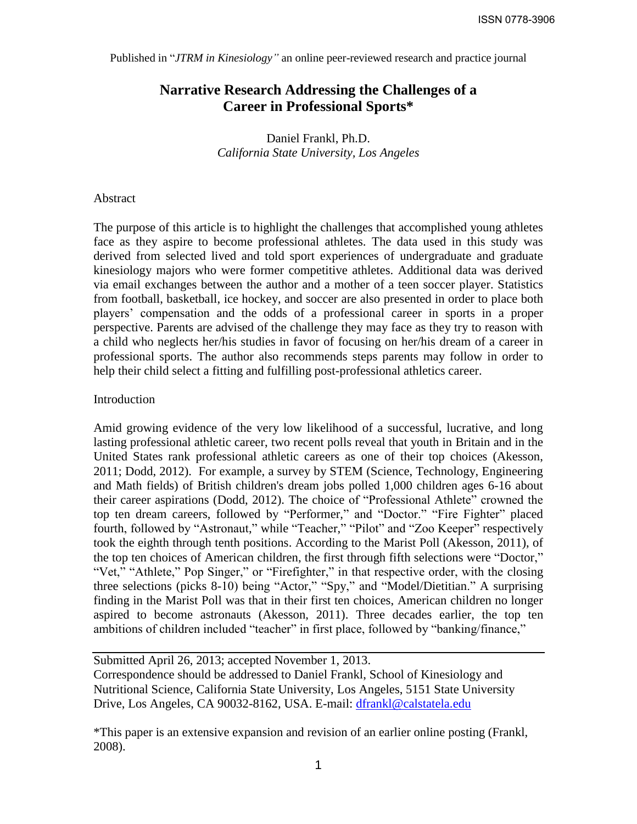Published in "*JTRM in Kinesiology"* an online peer-reviewed research and practice journal

# **Narrative Research Addressing the Challenges of a Career in Professional Sports\***

Daniel Frankl, Ph.D. *California State University, Los Angeles*

## Abstract

The purpose of this article is to highlight the challenges that accomplished young athletes face as they aspire to become professional athletes. The data used in this study was derived from selected lived and told sport experiences of undergraduate and graduate kinesiology majors who were former competitive athletes. Additional data was derived via email exchanges between the author and a mother of a teen soccer player. Statistics from football, basketball, ice hockey, and soccer are also presented in order to place both players' compensation and the odds of a professional career in sports in a proper perspective. Parents are advised of the challenge they may face as they try to reason with a child who neglects her/his studies in favor of focusing on her/his dream of a career in professional sports. The author also recommends steps parents may follow in order to help their child select a fitting and fulfilling post-professional athletics career.

## Introduction

Amid growing evidence of the very low likelihood of a successful, lucrative, and long lasting professional athletic career, two recent polls reveal that youth in Britain and in the United States rank professional athletic careers as one of their top choices (Akesson, 2011; Dodd, 2012). For example, a survey by STEM (Science, Technology, Engineering and Math fields) of British children's dream jobs polled 1,000 children ages 6-16 about their career aspirations (Dodd, 2012). The choice of "Professional Athlete" crowned the top ten dream careers, followed by "Performer," and "Doctor." "Fire Fighter" placed fourth, followed by "Astronaut," while "Teacher," "Pilot" and "Zoo Keeper" respectively took the eighth through tenth positions. According to the Marist Poll (Akesson, 2011), of the top ten choices of American children, the first through fifth selections were "Doctor," "Vet," "Athlete," Pop Singer," or "Firefighter," in that respective order, with the closing three selections (picks 8-10) being "Actor," "Spy," and "Model/Dietitian." A surprising finding in the Marist Poll was that in their first ten choices, American children no longer aspired to become astronauts (Akesson, 2011). Three decades earlier, the top ten ambitions of children included "teacher" in first place, followed by "banking/finance,"

Submitted April 26, 2013; accepted November 1, 2013. Correspondence should be addressed to Daniel Frankl, School of Kinesiology and Nutritional Science, California State University, Los Angeles, 5151 State University Drive, Los Angeles, CA 90032-8162, USA. E-mail: [dfrankl@calstatela.edu](mailto:dfrankl@calstatela.edu)

\*This paper is an extensive expansion and revision of an earlier online posting (Frankl, 2008).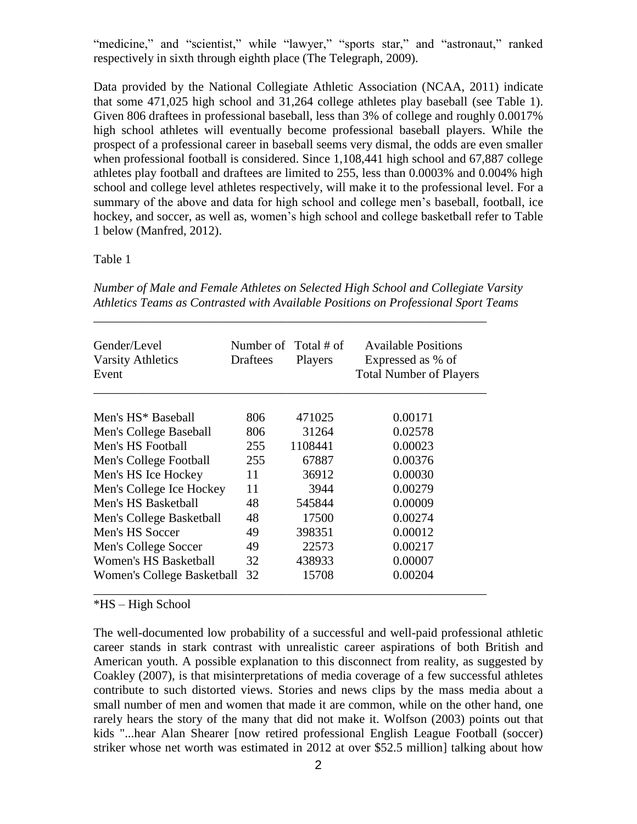"medicine," and "scientist," while "lawyer," "sports star," and "astronaut," ranked respectively in sixth through eighth place (The Telegraph, 2009).

Data provided by the National Collegiate Athletic Association (NCAA, 2011) indicate that some 471,025 high school and 31,264 college athletes play baseball (see Table 1). Given 806 draftees in professional baseball, less than 3% of college and roughly 0.0017% high school athletes will eventually become professional baseball players. While the prospect of a professional career in baseball seems very dismal, the odds are even smaller when professional football is considered. Since 1,108,441 high school and 67,887 college athletes play football and draftees are limited to 255, less than 0.0003% and 0.004% high school and college level athletes respectively, will make it to the professional level. For a summary of the above and data for high school and college men's baseball, football, ice hockey, and soccer, as well as, women's high school and college basketball refer to Table 1 below (Manfred, 2012).

# Table 1

| Gender/Level<br><b>Varsity Athletics</b><br>Event | Draftees | Number of Total # of<br>Players | <b>Available Positions</b><br>Expressed as % of<br><b>Total Number of Players</b> |
|---------------------------------------------------|----------|---------------------------------|-----------------------------------------------------------------------------------|
| Men's HS <sup>*</sup> Baseball                    | 806      | 471025                          | 0.00171                                                                           |
| Men's College Baseball                            | 806      | 31264                           | 0.02578                                                                           |
| Men's HS Football                                 | 255      | 1108441                         | 0.00023                                                                           |
| Men's College Football                            | 255      | 67887                           | 0.00376                                                                           |
| Men's HS Ice Hockey                               | 11       | 36912                           | 0.00030                                                                           |
| Men's College Ice Hockey                          | 11       | 3944                            | 0.00279                                                                           |
| Men's HS Basketball                               | 48       | 545844                          | 0.00009                                                                           |
| Men's College Basketball                          | 48       | 17500                           | 0.00274                                                                           |
| Men's HS Soccer                                   | 49       | 398351                          | 0.00012                                                                           |
| Men's College Soccer                              | 49       | 22573                           | 0.00217                                                                           |
| Women's HS Basketball                             | 32       | 438933                          | 0.00007                                                                           |
| <b>Women's College Basketball</b>                 | 32       | 15708                           | 0.00204                                                                           |

*Number of Male and Female Athletes on Selected High School and Collegiate Varsity Athletics Teams as Contrasted with Available Positions on Professional Sport Teams* 

\_\_\_\_\_\_\_\_\_\_\_\_\_\_\_\_\_\_\_\_\_\_\_\_\_\_\_\_\_\_\_\_\_\_\_\_\_\_\_\_\_\_\_\_\_\_\_\_\_\_\_\_\_\_\_\_\_\_\_\_\_\_\_

\*HS – High School

The well-documented low probability of a successful and well-paid professional athletic career stands in stark contrast with unrealistic career aspirations of both British and American youth. A possible explanation to this disconnect from reality, as suggested by Coakley (2007), is that misinterpretations of media coverage of a few successful athletes contribute to such distorted views. Stories and news clips by the mass media about a small number of men and women that made it are common, while on the other hand, one rarely hears the story of the many that did not make it. Wolfson (2003) points out that kids "...hear Alan Shearer [now retired professional English League Football (soccer) striker whose net worth was estimated in 2012 at over \$52.5 million] talking about how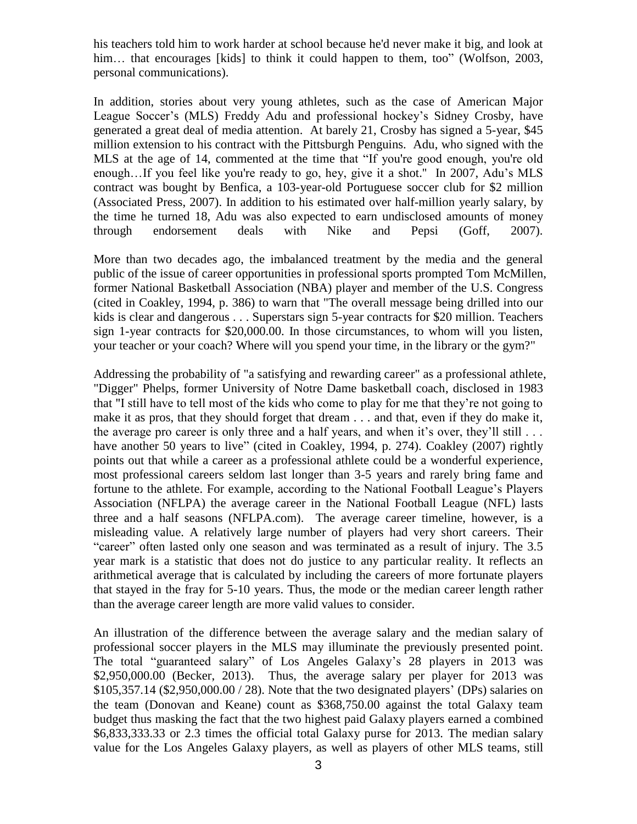his teachers told him to work harder at school because he'd never make it big, and look at him... that encourages [kids] to think it could happen to them, too" (Wolfson, 2003, personal communications).

In addition, stories about very young athletes, such as the case of American Major League Soccer's (MLS) Freddy Adu and professional hockey's Sidney Crosby, have generated a great deal of media attention. At barely 21, Crosby has signed a 5-year, \$45 million extension to his contract with the Pittsburgh Penguins. Adu, who signed with the MLS at the age of 14, commented at the time that "If you're good enough, you're old enough…If you feel like you're ready to go, hey, give it a shot.'' In 2007, Adu's MLS contract was bought by Benfica, a 103-year-old Portuguese soccer club for \$2 million (Associated Press, 2007). In addition to his estimated over half-million yearly salary, by the time he turned 18, Adu was also expected to earn undisclosed amounts of money through endorsement deals with Nike and Pepsi (Goff, 2007).

More than two decades ago, the imbalanced treatment by the media and the general public of the issue of career opportunities in professional sports prompted Tom McMillen, former National Basketball Association (NBA) player and member of the U.S. Congress (cited in Coakley, 1994, p. 386) to warn that "The overall message being drilled into our kids is clear and dangerous . . . Superstars sign 5-year contracts for \$20 million. Teachers sign 1-year contracts for \$20,000.00. In those circumstances, to whom will you listen, your teacher or your coach? Where will you spend your time, in the library or the gym?"

Addressing the probability of "a satisfying and rewarding career" as a professional athlete, "Digger" Phelps, former University of Notre Dame basketball coach, disclosed in 1983 that "I still have to tell most of the kids who come to play for me that they're not going to make it as pros, that they should forget that dream . . . and that, even if they do make it, the average pro career is only three and a half years, and when it's over, they'll still . . . have another 50 years to live" (cited in Coakley, 1994, p. 274). Coakley (2007) rightly points out that while a career as a professional athlete could be a wonderful experience, most professional careers seldom last longer than 3-5 years and rarely bring fame and fortune to the athlete. For example, according to the National Football League's Players Association (NFLPA) the average career in the National Football League (NFL) lasts three and a half seasons (NFLPA.com). The average career timeline, however, is a misleading value. A relatively large number of players had very short careers. Their "career" often lasted only one season and was terminated as a result of injury. The 3.5 year mark is a statistic that does not do justice to any particular reality. It reflects an arithmetical average that is calculated by including the careers of more fortunate players that stayed in the fray for 5-10 years. Thus, the mode or the median career length rather than the average career length are more valid values to consider.

An illustration of the difference between the average salary and the median salary of professional soccer players in the MLS may illuminate the previously presented point. The total "guaranteed salary" of Los Angeles Galaxy's 28 players in 2013 was \$2,950,000.00 (Becker, 2013). Thus, the average salary per player for 2013 was  $$105,357.14$  ( $$2,950,000.00 / 28$ ). Note that the two designated players' (DPs) salaries on the team (Donovan and Keane) count as \$368,750.00 against the total Galaxy team budget thus masking the fact that the two highest paid Galaxy players earned a combined \$6,833,333.33 or 2.3 times the official total Galaxy purse for 2013. The median salary value for the Los Angeles Galaxy players, as well as players of other MLS teams, still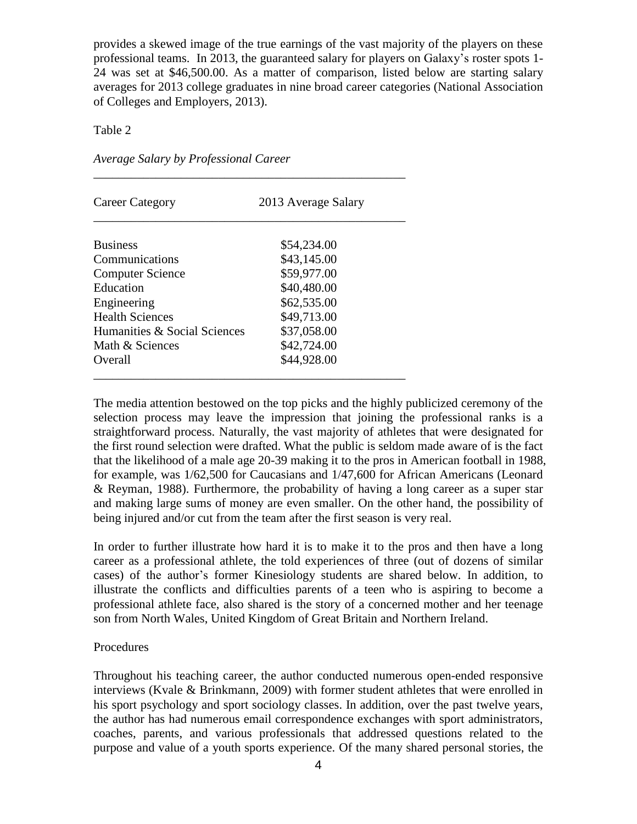provides a skewed image of the true earnings of the vast majority of the players on these professional teams. In 2013, the guaranteed salary for players on Galaxy's roster spots 1- 24 was set at \$46,500.00. As a matter of comparison, listed below are starting salary averages for 2013 college graduates in nine broad career categories (National Association of Colleges and Employers, 2013).

Table 2

| Career Category              | 2013 Average Salary |  |
|------------------------------|---------------------|--|
| <b>Business</b>              | \$54,234.00         |  |
| Communications               | \$43,145.00         |  |
| <b>Computer Science</b>      | \$59,977.00         |  |
| Education                    | \$40,480.00         |  |
| Engineering                  | \$62,535.00         |  |
| <b>Health Sciences</b>       | \$49,713.00         |  |
| Humanities & Social Sciences | \$37,058.00         |  |
| Math & Sciences              | \$42,724.00         |  |
| Overall                      | \$44,928.00         |  |

\_\_\_\_\_\_\_\_\_\_\_\_\_\_\_\_\_\_\_\_\_\_\_\_\_\_\_\_\_\_\_\_\_\_\_\_\_\_\_\_\_\_\_\_\_\_\_\_\_\_

*Average Salary by Professional Career*

The media attention bestowed on the top picks and the highly publicized ceremony of the selection process may leave the impression that joining the professional ranks is a straightforward process. Naturally, the vast majority of athletes that were designated for the first round selection were drafted. What the public is seldom made aware of is the fact that the likelihood of a male age 20-39 making it to the pros in American football in 1988, for example, was 1/62,500 for Caucasians and 1/47,600 for African Americans (Leonard & Reyman, 1988). Furthermore, the probability of having a long career as a super star and making large sums of money are even smaller. On the other hand, the possibility of being injured and/or cut from the team after the first season is very real.

In order to further illustrate how hard it is to make it to the pros and then have a long career as a professional athlete, the told experiences of three (out of dozens of similar cases) of the author's former Kinesiology students are shared below. In addition, to illustrate the conflicts and difficulties parents of a teen who is aspiring to become a professional athlete face, also shared is the story of a concerned mother and her teenage son from North Wales, United Kingdom of Great Britain and Northern Ireland.

#### Procedures

Throughout his teaching career, the author conducted numerous open-ended responsive interviews (Kvale & Brinkmann, 2009) with former student athletes that were enrolled in his sport psychology and sport sociology classes. In addition, over the past twelve years, the author has had numerous email correspondence exchanges with sport administrators, coaches, parents, and various professionals that addressed questions related to the purpose and value of a youth sports experience. Of the many shared personal stories, the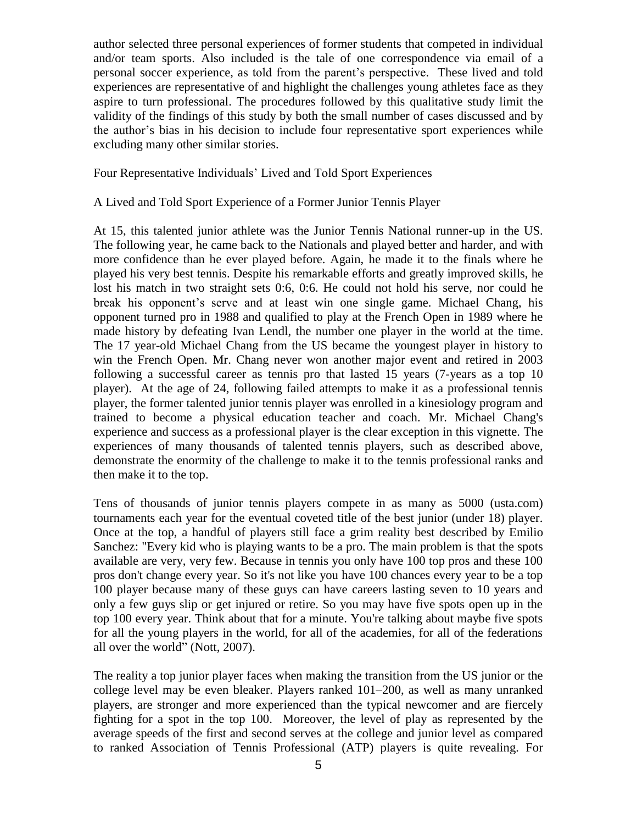author selected three personal experiences of former students that competed in individual and/or team sports. Also included is the tale of one correspondence via email of a personal soccer experience, as told from the parent's perspective. These lived and told experiences are representative of and highlight the challenges young athletes face as they aspire to turn professional. The procedures followed by this qualitative study limit the validity of the findings of this study by both the small number of cases discussed and by the author's bias in his decision to include four representative sport experiences while excluding many other similar stories.

Four Representative Individuals' Lived and Told Sport Experiences

A Lived and Told Sport Experience of a Former Junior Tennis Player

At 15, this talented junior athlete was the Junior Tennis National runner-up in the US. The following year, he came back to the Nationals and played better and harder, and with more confidence than he ever played before. Again, he made it to the finals where he played his very best tennis. Despite his remarkable efforts and greatly improved skills, he lost his match in two straight sets 0:6, 0:6. He could not hold his serve, nor could he break his opponent's serve and at least win one single game. Michael Chang, his opponent turned pro in 1988 and qualified to play at the French Open in 1989 where he made history by defeating Ivan Lendl, the number one player in the world at the time. The 17 year-old Michael Chang from the US became the youngest player in history to win the French Open. Mr. Chang never won another major event and retired in 2003 following a successful career as tennis pro that lasted 15 years (7-years as a top 10 player). At the age of 24, following failed attempts to make it as a professional tennis player, the former talented junior tennis player was enrolled in a kinesiology program and trained to become a physical education teacher and coach. Mr. Michael Chang's experience and success as a professional player is the clear exception in this vignette. The experiences of many thousands of talented tennis players, such as described above, demonstrate the enormity of the challenge to make it to the tennis professional ranks and then make it to the top.

Tens of thousands of junior tennis players compete in as many as 5000 (usta.com) tournaments each year for the eventual coveted title of the best junior (under 18) player. Once at the top, a handful of players still face a grim reality best described by Emilio Sanchez: "Every kid who is playing wants to be a pro. The main problem is that the spots available are very, very few. Because in tennis you only have 100 top pros and these 100 pros don't change every year. So it's not like you have 100 chances every year to be a top 100 player because many of these guys can have careers lasting seven to 10 years and only a few guys slip or get injured or retire. So you may have five spots open up in the top 100 every year. Think about that for a minute. You're talking about maybe five spots for all the young players in the world, for all of the academies, for all of the federations all over the world" (Nott, 2007).

The reality a top junior player faces when making the transition from the US junior or the college level may be even bleaker. Players ranked 101–200, as well as many unranked players, are stronger and more experienced than the typical newcomer and are fiercely fighting for a spot in the top 100. Moreover, the level of play as represented by the average speeds of the first and second serves at the college and junior level as compared to ranked Association of Tennis Professional (ATP) players is quite revealing. For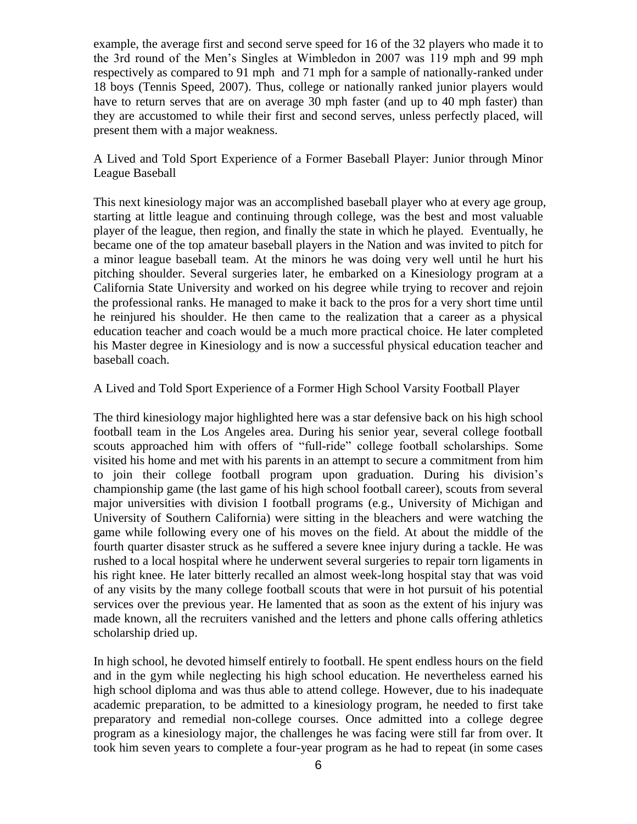example, the average first and second serve speed for 16 of the 32 players who made it to the 3rd round of the Men's Singles at Wimbledon in 2007 was 119 mph and 99 mph respectively as compared to 91 mph and 71 mph for a sample of nationally-ranked under 18 boys (Tennis Speed, 2007). Thus, college or nationally ranked junior players would have to return serves that are on average 30 mph faster (and up to 40 mph faster) than they are accustomed to while their first and second serves, unless perfectly placed, will present them with a major weakness.

A Lived and Told Sport Experience of a Former Baseball Player: Junior through Minor League Baseball

This next kinesiology major was an accomplished baseball player who at every age group, starting at little league and continuing through college, was the best and most valuable player of the league, then region, and finally the state in which he played. Eventually, he became one of the top amateur baseball players in the Nation and was invited to pitch for a minor league baseball team. At the minors he was doing very well until he hurt his pitching shoulder. Several surgeries later, he embarked on a Kinesiology program at a California State University and worked on his degree while trying to recover and rejoin the professional ranks. He managed to make it back to the pros for a very short time until he reinjured his shoulder. He then came to the realization that a career as a physical education teacher and coach would be a much more practical choice. He later completed his Master degree in Kinesiology and is now a successful physical education teacher and baseball coach.

# A Lived and Told Sport Experience of a Former High School Varsity Football Player

The third kinesiology major highlighted here was a star defensive back on his high school football team in the Los Angeles area. During his senior year, several college football scouts approached him with offers of "full-ride" college football scholarships. Some visited his home and met with his parents in an attempt to secure a commitment from him to join their college football program upon graduation. During his division's championship game (the last game of his high school football career), scouts from several major universities with division I football programs (e.g., University of Michigan and University of Southern California) were sitting in the bleachers and were watching the game while following every one of his moves on the field. At about the middle of the fourth quarter disaster struck as he suffered a severe knee injury during a tackle. He was rushed to a local hospital where he underwent several surgeries to repair torn ligaments in his right knee. He later bitterly recalled an almost week-long hospital stay that was void of any visits by the many college football scouts that were in hot pursuit of his potential services over the previous year. He lamented that as soon as the extent of his injury was made known, all the recruiters vanished and the letters and phone calls offering athletics scholarship dried up.

In high school, he devoted himself entirely to football. He spent endless hours on the field and in the gym while neglecting his high school education. He nevertheless earned his high school diploma and was thus able to attend college. However, due to his inadequate academic preparation, to be admitted to a kinesiology program, he needed to first take preparatory and remedial non-college courses. Once admitted into a college degree program as a kinesiology major, the challenges he was facing were still far from over. It took him seven years to complete a four-year program as he had to repeat (in some cases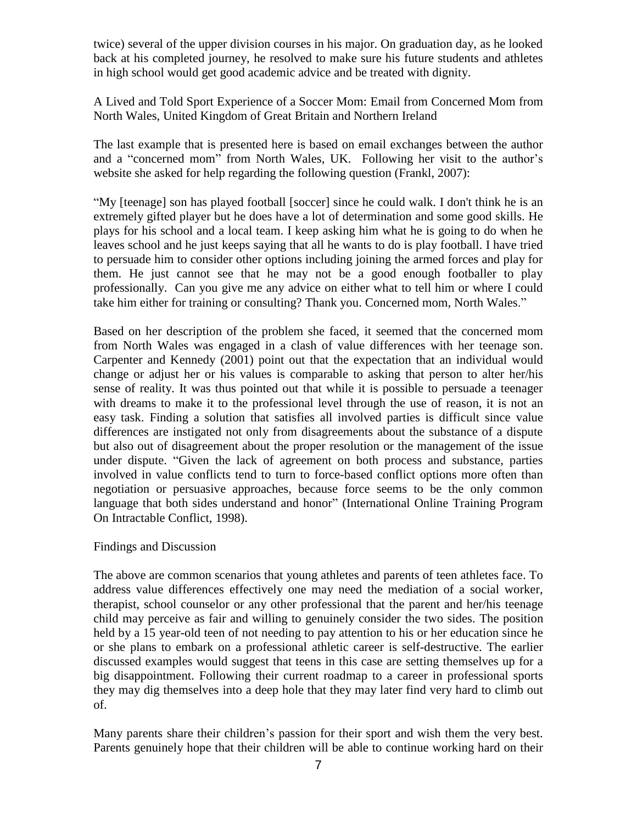twice) several of the upper division courses in his major. On graduation day, as he looked back at his completed journey, he resolved to make sure his future students and athletes in high school would get good academic advice and be treated with dignity.

A Lived and Told Sport Experience of a Soccer Mom: Email from Concerned Mom from North Wales, United Kingdom of Great Britain and Northern Ireland

The last example that is presented here is based on email exchanges between the author and a "concerned mom" from North Wales, UK. Following her visit to the author's website she asked for help regarding the following question (Frankl, 2007):

"My [teenage] son has played football [soccer] since he could walk. I don't think he is an extremely gifted player but he does have a lot of determination and some good skills. He plays for his school and a local team. I keep asking him what he is going to do when he leaves school and he just keeps saying that all he wants to do is play football. I have tried to persuade him to consider other options including joining the armed forces and play for them. He just cannot see that he may not be a good enough footballer to play professionally. Can you give me any advice on either what to tell him or where I could take him either for training or consulting? Thank you. Concerned mom, North Wales."

Based on her description of the problem she faced, it seemed that the concerned mom from North Wales was engaged in a clash of value differences with her teenage son. Carpenter and Kennedy (2001) point out that the expectation that an individual would change or adjust her or his values is comparable to asking that person to alter her/his sense of reality. It was thus pointed out that while it is possible to persuade a teenager with dreams to make it to the professional level through the use of reason, it is not an easy task. Finding a solution that satisfies all involved parties is difficult since value differences are instigated not only from disagreements about the substance of a dispute but also out of disagreement about the proper resolution or the management of the issue under dispute. "Given the lack of agreement on both process and substance, parties involved in value conflicts tend to turn to force-based conflict options more often than negotiation or persuasive approaches, because force seems to be the only common language that both sides understand and honor" (International Online Training Program On Intractable Conflict, 1998).

# Findings and Discussion

The above are common scenarios that young athletes and parents of teen athletes face. To address value differences effectively one may need the mediation of a social worker, therapist, school counselor or any other professional that the parent and her/his teenage child may perceive as fair and willing to genuinely consider the two sides. The position held by a 15 year-old teen of not needing to pay attention to his or her education since he or she plans to embark on a professional athletic career is self-destructive. The earlier discussed examples would suggest that teens in this case are setting themselves up for a big disappointment. Following their current roadmap to a career in professional sports they may dig themselves into a deep hole that they may later find very hard to climb out of.

Many parents share their children's passion for their sport and wish them the very best. Parents genuinely hope that their children will be able to continue working hard on their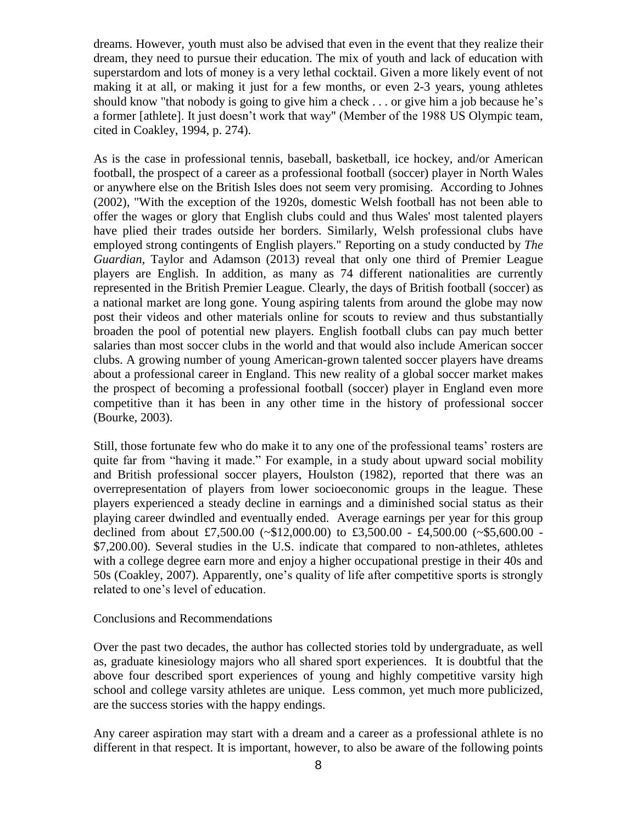dreams. However, youth must also be advised that even in the event that they realize their dream, they need to pursue their education. The mix of youth and lack of education with superstardom and lots of money is a very lethal cocktail. Given a more likely event of not making it at all, or making it just for a few months, or even 2-3 years, young athletes should know "that nobody is going to give him a check . . . or give him a job because he's a former [athlete]. It just doesn't work that way" (Member of the 1988 US Olympic team, cited in Coakley, 1994, p. 274).

As is the case in professional tennis, baseball, basketball, ice hockey, and/or American football, the prospect of a career as a professional football (soccer) player in North Wales or anywhere else on the British Isles does not seem very promising. According to Johnes (2002), "With the exception of the 1920s, domestic Welsh football has not been able to offer the wages or glory that English clubs could and thus Wales' most talented players have plied their trades outside her borders. Similarly, Welsh professional clubs have employed strong contingents of English players." Reporting on a study conducted by *The Guardian*, Taylor and Adamson (2013) reveal that only one third of Premier League players are English. In addition, as many as 74 different nationalities are currently represented in the British Premier League. Clearly, the days of British football (soccer) as a national market are long gone. Young aspiring talents from around the globe may now post their videos and other materials online for scouts to review and thus substantially broaden the pool of potential new players. English football clubs can pay much better salaries than most soccer clubs in the world and that would also include American soccer clubs. A growing number of young American-grown talented soccer players have dreams about a professional career in England. This new reality of a global soccer market makes the prospect of becoming a professional football (soccer) player in England even more competitive than it has been in any other time in the history of professional soccer (Bourke, 2003).

Still, those fortunate few who do make it to any one of the professional teams' rosters are quite far from "having it made." For example, in a study about upward social mobility and British professional soccer players, Houlston (1982), reported that there was an overrepresentation of players from lower socioeconomic groups in the league. These players experienced a steady decline in earnings and a diminished social status as their playing career dwindled and eventually ended. Average earnings per year for this group declined from about £7,500.00 (~\$12,000.00) to £3,500.00 - £4,500.00 (~\$5,600.00 - \$7,200.00). Several studies in the U.S. indicate that compared to non-athletes, athletes with a college degree earn more and enjoy a higher occupational prestige in their 40s and 50s (Coakley, 2007). Apparently, one's quality of life after competitive sports is strongly related to one's level of education.

#### Conclusions and Recommendations

Over the past two decades, the author has collected stories told by undergraduate, as well as, graduate kinesiology majors who all shared sport experiences. It is doubtful that the above four described sport experiences of young and highly competitive varsity high school and college varsity athletes are unique. Less common, yet much more publicized, are the success stories with the happy endings.

Any career aspiration may start with a dream and a career as a professional athlete is no different in that respect. It is important, however, to also be aware of the following points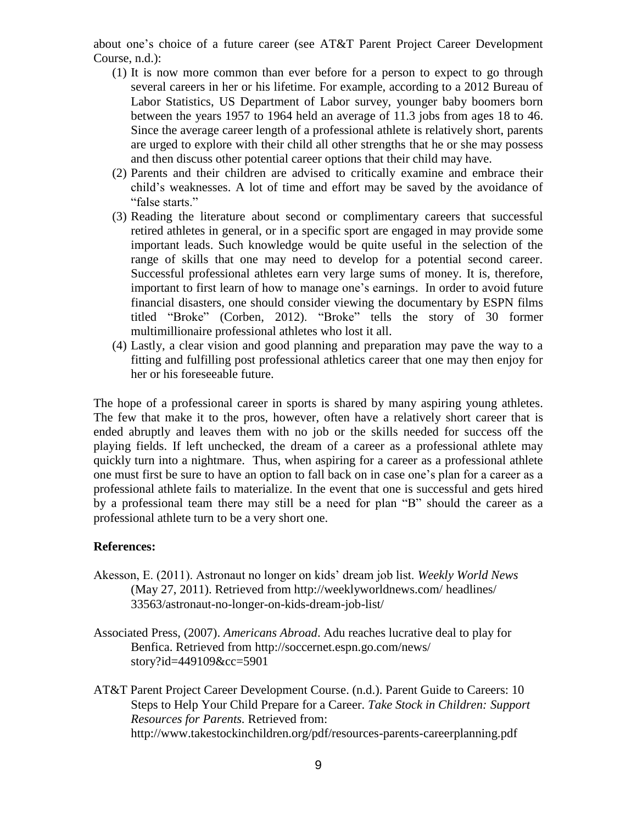about one's choice of a future career (see AT&T Parent Project Career Development Course, n.d.):

- (1) It is now more common than ever before for a person to expect to go through several careers in her or his lifetime. For example, according to a 2012 Bureau of Labor Statistics, US Department of Labor survey, younger baby boomers born between the years 1957 to 1964 held an average of 11.3 jobs from ages 18 to 46. Since the average career length of a professional athlete is relatively short, parents are urged to explore with their child all other strengths that he or she may possess and then discuss other potential career options that their child may have.
- (2) Parents and their children are advised to critically examine and embrace their child's weaknesses. A lot of time and effort may be saved by the avoidance of "false starts."
- (3) Reading the literature about second or complimentary careers that successful retired athletes in general, or in a specific sport are engaged in may provide some important leads. Such knowledge would be quite useful in the selection of the range of skills that one may need to develop for a potential second career. Successful professional athletes earn very large sums of money. It is, therefore, important to first learn of how to manage one's earnings. In order to avoid future financial disasters, one should consider viewing the documentary by ESPN films titled "Broke" (Corben, 2012). "Broke" tells the story of 30 former multimillionaire professional athletes who lost it all.
- (4) Lastly, a clear vision and good planning and preparation may pave the way to a fitting and fulfilling post professional athletics career that one may then enjoy for her or his foreseeable future.

The hope of a professional career in sports is shared by many aspiring young athletes. The few that make it to the pros, however, often have a relatively short career that is ended abruptly and leaves them with no job or the skills needed for success off the playing fields. If left unchecked, the dream of a career as a professional athlete may quickly turn into a nightmare. Thus, when aspiring for a career as a professional athlete one must first be sure to have an option to fall back on in case one's plan for a career as a professional athlete fails to materialize. In the event that one is successful and gets hired by a professional team there may still be a need for plan "B" should the career as a professional athlete turn to be a very short one.

# **References:**

- Akesson, E. (2011). Astronaut no longer on kids' dream job list. *Weekly World News* (May 27, 2011). Retrieved from http://weeklyworldnews.com/ headlines/ 33563/astronaut-no-longer-on-kids-dream-job-list/
- Associated Press, (2007). *Americans Abroad*. Adu reaches lucrative deal to play for Benfica. Retrieved from http://soccernet.espn.go.com/news/ story?id=449109&cc=5901
- AT&T Parent Project Career Development Course. (n.d.). Parent Guide to Careers: 10 Steps to Help Your Child Prepare for a Career. *Take Stock in Children: Support Resources for Parents.* Retrieved from: http://www.takestockinchildren.org/pdf/resources-parents-careerplanning.pdf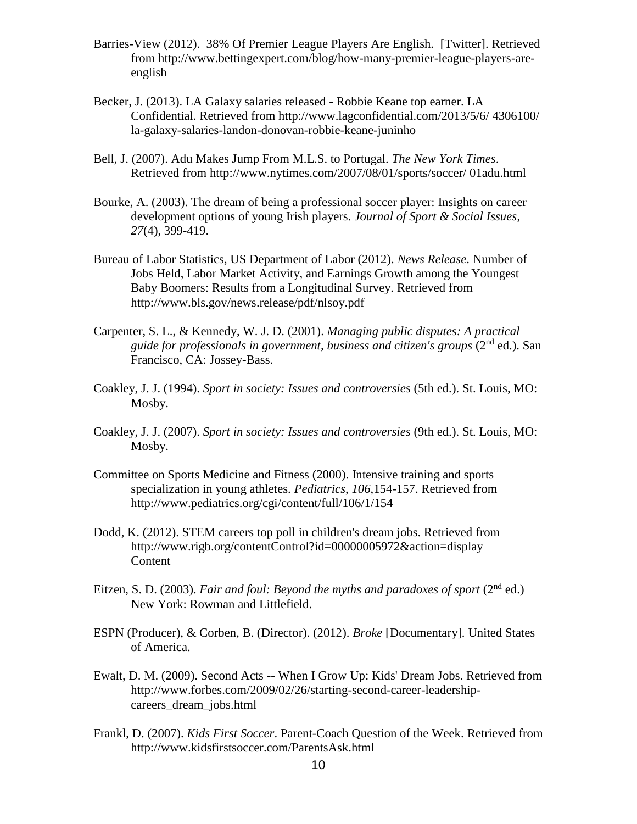- Barries-View (2012). 38% Of Premier League Players Are English. [Twitter]. Retrieved from http://www.bettingexpert.com/blog/how-many-premier-league-players-areenglish
- Becker, J. (2013). LA Galaxy salaries released Robbie Keane top earner. LA Confidential. Retrieved from http://www.lagconfidential.com/2013/5/6/ 4306100/ la-galaxy-salaries-landon-donovan-robbie-keane-juninho
- Bell, J. (2007). Adu Makes Jump From M.L.S. to Portugal. *The New York Times*. Retrieved from http://www.nytimes.com/2007/08/01/sports/soccer/ 01adu.html
- Bourke, A. (2003). The dream of being a professional soccer player: Insights on career development options of young Irish players. *Journal of Sport & Social Issues*, *27*(4), 399-419.
- Bureau of Labor Statistics, US Department of Labor (2012). *News Release*. Number of Jobs Held, Labor Market Activity, and Earnings Growth among the Youngest Baby Boomers: Results from a Longitudinal Survey. Retrieved from http://www.bls.gov/news.release/pdf/nlsoy.pdf
- Carpenter, S. L., & Kennedy, W. J. D. (2001). *Managing public disputes: A practical guide for professionals in government, business and citizen's groups* (2 nd ed.). San Francisco, CA: Jossey-Bass.
- Coakley, J. J. (1994). *Sport in society: Issues and controversies* (5th ed.). St. Louis, MO: Mosby.
- Coakley, J. J. (2007). *Sport in society: Issues and controversies* (9th ed.). St. Louis, MO: Mosby.
- Committee on Sports Medicine and Fitness (2000). Intensive training and sports specialization in young athletes. *Pediatrics*, *106*,154-157. Retrieved from http://www.pediatrics.org/cgi/content/full/106/1/154
- Dodd, K. (2012). STEM careers top poll in children's dream jobs. Retrieved from http://www.rigb.org/contentControl?id=00000005972&action=display Content
- Eitzen, S. D. (2003). *Fair and foul: Beyond the myths and paradoxes of sport* (2<sup>nd</sup> ed.) New York: Rowman and Littlefield.
- ESPN (Producer), & Corben, B. (Director). (2012). *Broke* [Documentary]. United States of America.
- Ewalt, D. M. (2009). Second Acts -- When I Grow Up: Kids' Dream Jobs. Retrieved from http://www.forbes.com/2009/02/26/starting-second-career-leadershipcareers\_dream\_jobs.html
- Frankl, D. (2007). *Kids First Soccer*. Parent-Coach Question of the Week. Retrieved from http://www.kidsfirstsoccer.com/ParentsAsk.html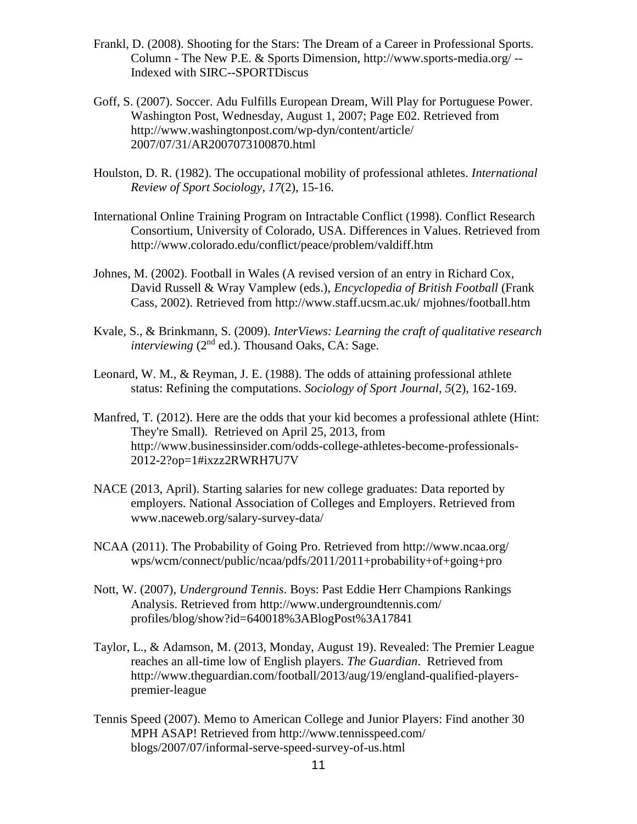- Frankl, D. (2008). Shooting for the Stars: The Dream of a Career in Professional Sports. Column - The New P.E. & Sports Dimension, http://www.sports-media.org/ -- Indexed with SIRC--SPORTDiscus
- Goff, S. (2007). Soccer. Adu Fulfills European Dream, Will Play for Portuguese Power. Washington Post, Wednesday, August 1, 2007; Page E02. Retrieved from http://www.washingtonpost.com/wp-dyn/content/article/ 2007/07/31/AR2007073100870.html
- Houlston, D. R. (1982). The occupational mobility of professional athletes. *International Review of Sport Sociology*, *17*(2), 15-16.
- International Online Training Program on Intractable Conflict (1998). Conflict Research Consortium, University of Colorado, USA. Differences in Values. Retrieved from http://www.colorado.edu/conflict/peace/problem/valdiff.htm
- Johnes, M. (2002). Football in Wales (A revised version of an entry in Richard Cox, David Russell & Wray Vamplew (eds.), *Encyclopedia of British Football* (Frank Cass, 2002). Retrieved from http://www.staff.ucsm.ac.uk/ mjohnes/football.htm
- Kvale, S., & Brinkmann, S. (2009). *InterViews: Learning the craft of qualitative research interviewing* (2<sup>nd</sup> ed.). Thousand Oaks, CA: Sage.
- Leonard, W. M., & Reyman, J. E. (1988). The odds of attaining professional athlete status: Refining the computations. *Sociology of Sport Journal*, *5*(2), 162-169.
- Manfred, T. (2012). Here are the odds that your kid becomes a professional athlete (Hint: They're Small). Retrieved on April 25, 2013, from http://www.businessinsider.com/odds-college-athletes-become-professionals-2012-2?op=1#ixzz2RWRH7U7V
- NACE (2013, April). Starting salaries for new college graduates: Data reported by employers. National Association of Colleges and Employers. Retrieved from www.naceweb.org/salary-survey-data/
- NCAA (2011). The Probability of Going Pro. Retrieved from http://www.ncaa.org/ wps/wcm/connect/public/ncaa/pdfs/2011/2011+probability+of+going+pro
- Nott, W. (2007), *Underground Tennis*. Boys: Past Eddie Herr Champions Rankings Analysis. Retrieved from http://www.undergroundtennis.com/ profiles/blog/show?id=640018%3ABlogPost%3A17841
- Taylor, L., & Adamson, M. (2013, Monday, August 19). Revealed: The Premier League reaches an all-time low of English players. *The Guardian*. Retrieved from http://www.theguardian.com/football/2013/aug/19/england-qualified-playerspremier-league
- Tennis Speed (2007). Memo to American College and Junior Players: Find another 30 MPH ASAP! Retrieved from http://www.tennisspeed.com/ blogs/2007/07/informal-serve-speed-survey-of-us.html